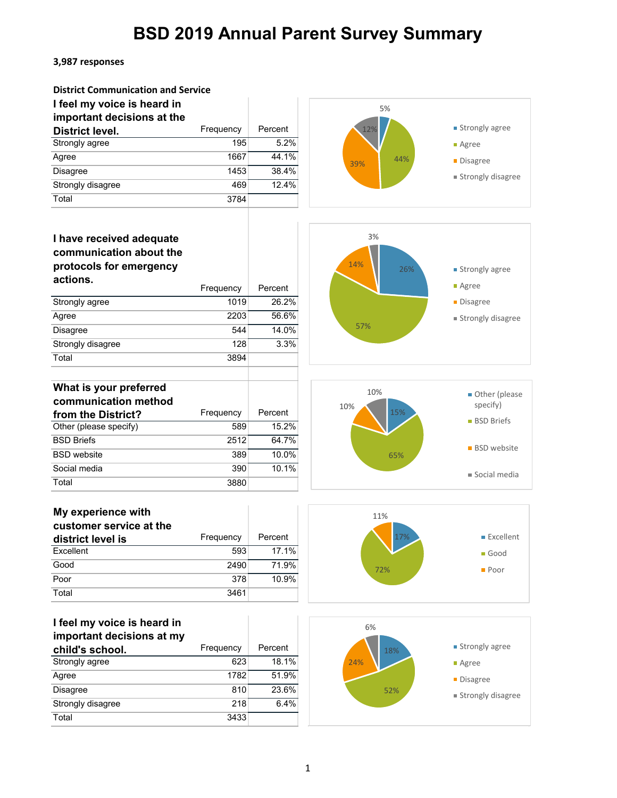#### **3,987 responses**

| <b>District Communication and Service</b> |           |         |  |
|-------------------------------------------|-----------|---------|--|
| I feel my voice is heard in               |           |         |  |
| important decisions at the                |           |         |  |
| <b>District level.</b>                    | Frequency | Percent |  |
| Strongly agree                            | 195       | 5.2%    |  |
| Agree                                     | 1667      | 44.1%   |  |
| <b>Disagree</b>                           | 1453      | 38.4%   |  |
| Strongly disagree                         | 469       | 12.4%   |  |
| Total                                     | 3784      |         |  |



### **I have received adequate communication about the protocols for emergency actions.**

|                   | Frequency | Percent  |
|-------------------|-----------|----------|
| Strongly agree    | 1019      | $26.2\%$ |
| Agree             | 2203      | 56.6%    |
| <b>Disagree</b>   | 544       | 14.0%    |
| Strongly disagree | 128       | 3.3%     |
| Total             | 3894      |          |



#### **What is your preferred communication method from the District?** Frequency Percent<br>
Other (please specify) 589 15.2% Other (please specify) 589 BSD Briefs 2512 64.7% BSD website 389 10.0% Social media 390 10.1% Total 3880



| My experience with      |           |         |
|-------------------------|-----------|---------|
| customer service at the |           |         |
| district level is       | Frequency | Percent |
| Excellent               | 593       | 17.1%   |
| Good                    | 2490      | 71.9%   |
| Poor                    | 378       | 10.9%   |
| Total                   | 3461      |         |



| I feel my voice is heard in |           |         |
|-----------------------------|-----------|---------|
| important decisions at my   |           |         |
| child's school.             | Frequency | Percent |
| Strongly agree              | 623       | 18.1%   |
| Agree                       | 1782      | 51.9%   |
| <b>Disagree</b>             | 810       | 23.6%   |
| Strongly disagree           | 218       | 6.4%    |

Total 3433

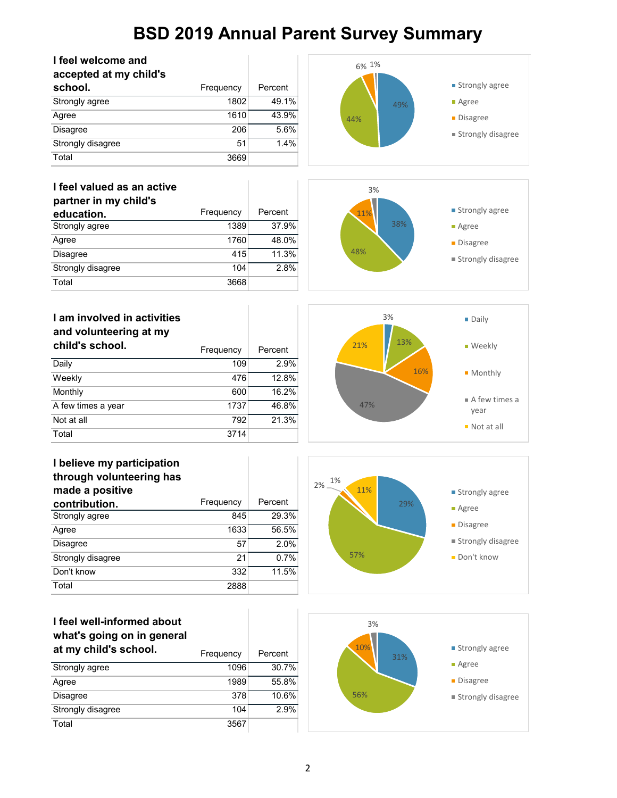| I feel welcome and          |           |         | 6% 1%      |                              |
|-----------------------------|-----------|---------|------------|------------------------------|
| accepted at my child's      |           |         |            |                              |
| school.                     | Frequency | Percent |            | ■ Strongly agree             |
| Strongly agree              | 1802      | 49.1%   | 49%        | <b>Agree</b>                 |
| Agree                       | 1610      | 43.9%   | 44%        | ■ Disagree                   |
| Disagree                    | 206       | 5.6%    |            | ■ Strongly disagree          |
| Strongly disagree           | 51        | 1.4%    |            |                              |
| Total                       | 3669      |         |            |                              |
| I feel valued as an active  |           |         | 3%         |                              |
| partner in my child's       |           |         |            |                              |
| education.                  | Frequency | Percent | 11%        | ■ Strongly agree             |
| Strongly agree              | 1389      | 37.9%   | 38%        | ■ Agree                      |
| Agree                       | 1760      | 48.0%   |            | ■ Disagree                   |
| Disagree                    | 415       | 11.3%   | 48%        |                              |
| Strongly disagree           | 104       | 2.8%    |            | ■ Strongly disagree          |
| Total                       | 3668      |         |            |                              |
|                             |           |         |            |                              |
| I am involved in activities |           |         | 3%         | ■ Daily                      |
| and volunteering at my      |           |         |            |                              |
| child's school.             |           |         | 13%<br>21% | ■ Weekly                     |
|                             | Frequency | Percent |            |                              |
| Daily                       | 109       | 2.9%    | 16%        | ■ Monthly                    |
| Weekly                      | 476       | 12.8%   |            |                              |
| Monthly                     | 600       | 16.2%   |            | $\blacksquare$ A few times a |
| A few times a year          | 1737      | 46.8%   | 47%        | year                         |
| Not at all                  | 792       | 21.3%   |            | ■ Not at all                 |
| Total                       | 3714      |         |            |                              |
| I believe my participation  |           |         |            |                              |
| through volunteering has    |           |         | 1%         |                              |
| made a positive             |           |         | 2%<br>11%  | ■ Strongly agree             |
| contribution.               | Frequency | Percent | 29%        | • Agree                      |
| Strongly agree              | 845       | 29.3%   |            |                              |
| Agree                       | 1633      | 56.5%   |            | Disagree                     |
| Disagree                    | 57        | 2.0%    |            | ■ Strongly disagree          |
| Strongly disagree           | 21        | 0.7%    | 57%        | Don't know                   |
| Don't know                  | 332       | 11.5%   |            |                              |
| Total                       | 2888      |         |            |                              |
|                             |           |         |            |                              |
| I feel well-informed about  |           |         |            |                              |
|                             |           |         | 3%         |                              |
| what's going on in general  |           |         | 10%        | ■ Strongly agree             |
| at my child's school.       | Frequency | Percent | 31%        |                              |
| Strongly agree              | 1096      | 30.7%   |            | • Agree                      |
| Agree                       | 1989      | 55.8%   |            | <b>Disagree</b>              |
| Disagree                    | 378       | 10.6%   | 56%        | ■ Strongly disagree          |
| Strongly disagree           | 104       | 2.9%    |            |                              |
| Total                       | 3567      |         |            |                              |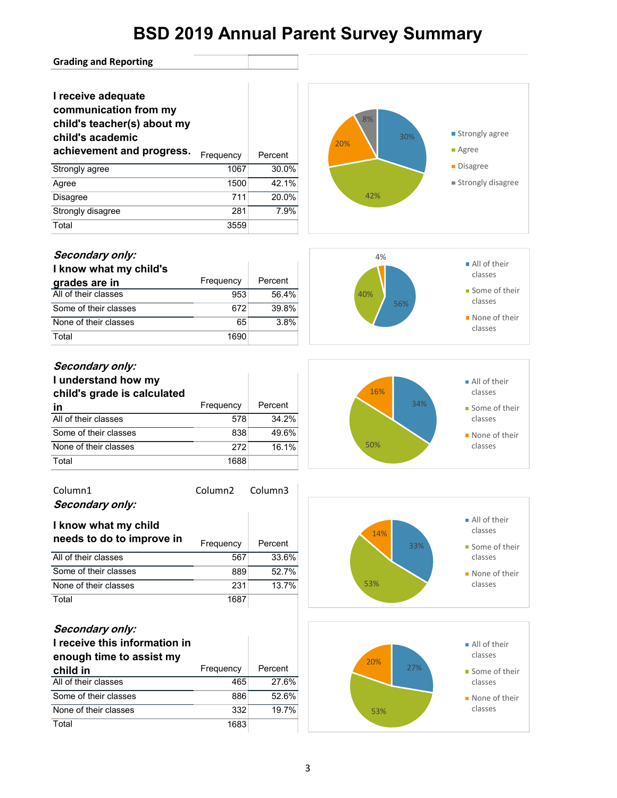#### **Grading and Reporting**

### **I receive adequate communication from my**

### **child's teacher(s) about my**

### **child's academic**

| achievement and progress. | Frequency | Percent |
|---------------------------|-----------|---------|
| Strongly agree            | 1067      | 30.0%   |
| Agree                     | 1500      | 42.1%   |
| <b>Disagree</b>           | 711       | 20.0%   |
| Strongly disagree         | 281       | 7.9%    |
| Total                     | 3559      |         |



#### **Secondary only:**

| I know what my child's |           |         |
|------------------------|-----------|---------|
| grades are in          | Frequency | Percent |
| All of their classes   | 953       | 56.4%   |
| Some of their classes  | 672       | 39.8%   |
| None of their classes  | 65        | 3.8%    |
| Total                  | 1690      |         |



### **Secondary only:**

#### **I understand how my child's grade is calculated in** Frequency Percent All of their classes 578 34.2% Some of their classes 838 49.6% None of their classes 272 16.1% Total 1688

| Column1<br>Secondary only:                              | Column <sub>2</sub> | Column3 |
|---------------------------------------------------------|---------------------|---------|
| I know what my child<br>needs to do to improve in       | Frequency           | Percent |
| All of their classes                                    | 567                 | 33.6%   |
| Some of their classes                                   | 889                 | 52.7%   |
| None of their classes                                   | 231                 | 13.7%   |
| Total                                                   | 1687                |         |
| Secondary only:<br><u>I receive this information in</u> |                     |         |

### **I receive this information in enough time to assist my child in** Frequency Percent

| All of their classes  | 465  | 27.6% |
|-----------------------|------|-------|
| Some of their classes | 886  | 52.6% |
| None of their classes | 332  | 19.7% |
| Total                 | 1683 |       |





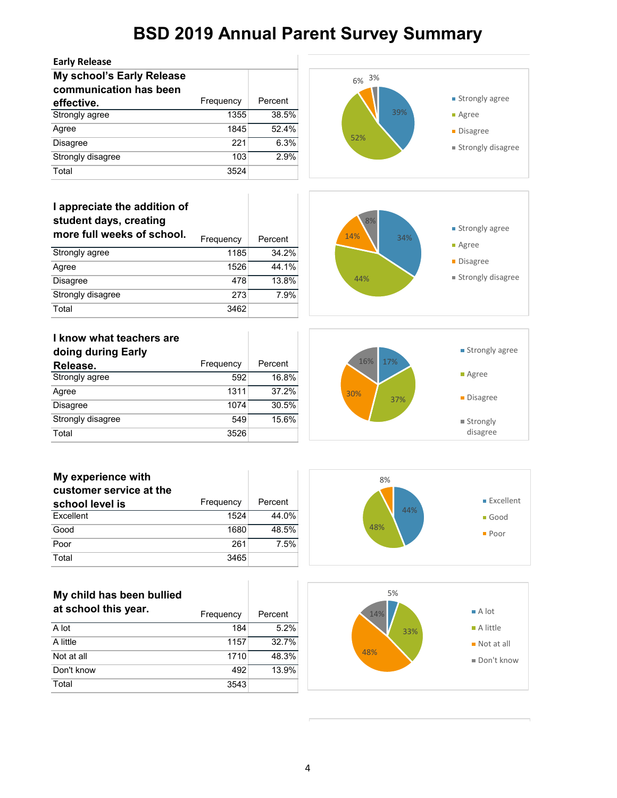

Total 3543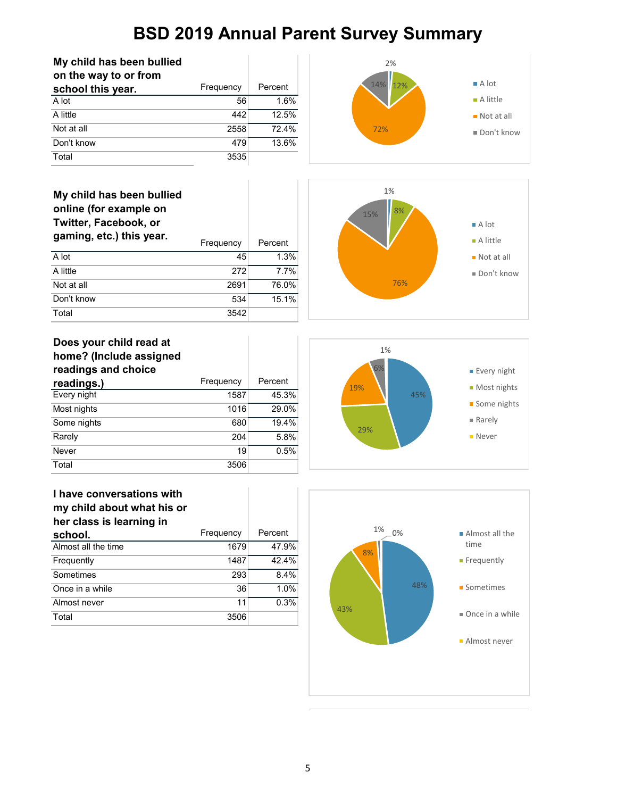| My child has been bullied |           |         |
|---------------------------|-----------|---------|
| on the way to or from     |           |         |
| school this year.         | Frequency | Percent |
| A lot                     | 56        | 1.6%    |
| A little                  | 442       | 12.5%   |
| Not at all                | 2558      | 72.4%   |
| Don't know                | 479       | 13.6%   |
| Total                     | 3535      |         |







| nome? (include assigned<br>readings and choice |           |         |
|------------------------------------------------|-----------|---------|
| readings.)                                     | Frequency | Percent |
| Every night                                    | 1587      | 45.3%   |
| Most nights                                    | 1016      | 29.0%   |
| Some nights                                    | 680       | 19.4%   |
| Rarely                                         | 204       | 5.8%    |
| Never                                          | 19        | 0.5%    |
| Total                                          | 3506      |         |



1%



| Frequency | Percent |
|-----------|---------|
| 1679      | 47.9%   |
| 1487      | 42.4%   |
| 293       | 8.4%    |
| 36        | 1.0%    |
| 11        | 0.3%    |
| 3506      |         |
|           |         |

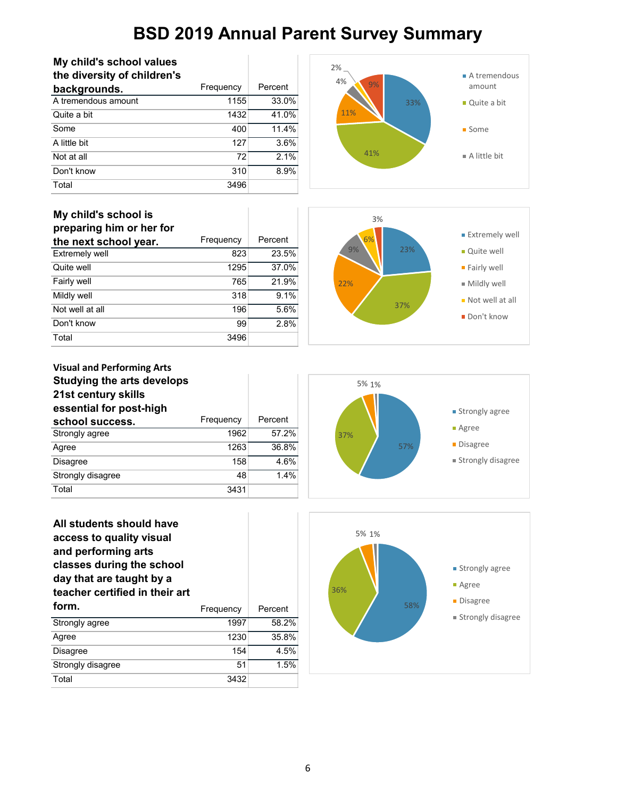| My child's school values    |           |         |
|-----------------------------|-----------|---------|
| the diversity of children's |           |         |
| backgrounds.                | Frequency | Percent |
| A tremendous amount         | 1155      | 33.0%   |
| Quite a bit                 | 1432      | 41.0%   |
| Some                        | 400       | 11.4%   |
| A little bit                | 127       | 3.6%    |
| Not at all                  | 72        | 2.1%    |
| Don't know                  | 310       | 8.9%    |
| Total                       | 3496      |         |



### **My child's school is**

| preparing him or her for |           |         |
|--------------------------|-----------|---------|
| the next school year.    | Frequency | Percent |
| <b>Extremely well</b>    | 823       | 23.5%   |
| Quite well               | 1295      | 37.0%   |
| Fairly well              | 765       | 21.9%   |
| Mildly well              | 318       | 9.1%    |
| Not well at all          | 196       | 5.6%    |
| Don't know               | 99        | 2.8%    |
| Total                    | 3496      |         |



#### **Visual and Performing Arts Studying the arts develops 21st century skills essential for post-high**  school success. Frequency Percent Strongly agree 1962 57.2% Agree 1263 36.8% Disagree 158 4.6% Strongly disagree 48 1.4% Total 3431



| All students should have<br>access to quality visual<br>and performing arts<br>classes during the school<br>day that are taught by a<br>teacher certified in their art |           |         |
|------------------------------------------------------------------------------------------------------------------------------------------------------------------------|-----------|---------|
| form.                                                                                                                                                                  | Frequency | Percent |
| Strongly agree                                                                                                                                                         | 1997      | 58.2%   |
| Agree                                                                                                                                                                  | 1230      | 35.8%   |
| <b>Disagree</b>                                                                                                                                                        | 154       | 4.5%    |
| Strongly disagree                                                                                                                                                      | 51        | 1.5%    |
| Total                                                                                                                                                                  | 3432      |         |

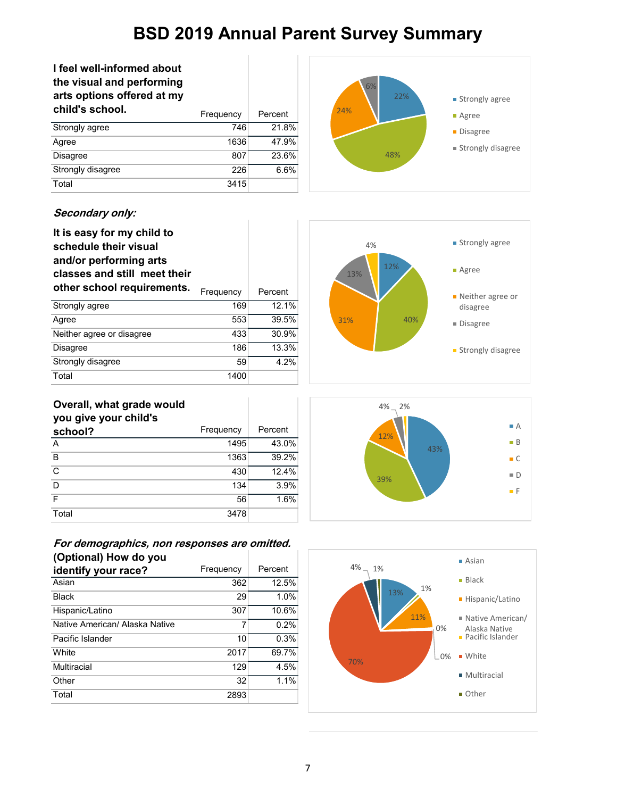| I feel well-informed about<br>the visual and performing<br>arts options offered at my |           |         |
|---------------------------------------------------------------------------------------|-----------|---------|
| child's school.                                                                       | Frequency | Percent |
| Strongly agree                                                                        | 746       | 21.8%   |
| Agree                                                                                 | 1636      | 47.9%   |
| <b>Disagree</b>                                                                       | 807       | 23.6%   |
| Strongly disagree                                                                     | 226       | 6.6%    |
| Total                                                                                 | 3415      |         |



#### **Secondary only:**

| It is easy for my child to<br>schedule their visual<br>and/or performing arts<br>classes and still meet their |           |         |
|---------------------------------------------------------------------------------------------------------------|-----------|---------|
| other school requirements.                                                                                    | Frequency | Percent |
| Strongly agree                                                                                                | 169       | 12.1%   |
| Agree                                                                                                         | 553       | 39.5%   |
| Neither agree or disagree                                                                                     | 433       | 30.9%   |
| <b>Disagree</b>                                                                                               | 186       | 13.3%   |
| Strongly disagree                                                                                             | 59        | 4.2%    |
| Total                                                                                                         | 1400      |         |

T



### **Overall, what grade would**

| you give your child's |           |         |
|-----------------------|-----------|---------|
| school?               | Frequency | Percent |
| A                     | 1495      | 43.0%   |
| B                     | 1363      | 39.2%   |
| C                     | 430       | 12.4%   |
| D                     | 134       | 3.9%    |
| F                     | 56        | 1.6%    |
| Total                 | 3478      |         |





#### **For demographics, non responses are omitted. (Optional) How do you**

| identify your race?            | Frequency | Percent |
|--------------------------------|-----------|---------|
| Asian                          | 362       | 12.5%   |
| <b>Black</b>                   | 29        | 1.0%    |
| Hispanic/Latino                | 307       | 10.6%   |
| Native American/ Alaska Native | 7         | 0.2%    |
| Pacific Islander               | 10        | 0.3%    |
| White                          | 2017      | 69.7%   |
| Multiracial                    | 129       | 4.5%    |
| Other                          | 32        | 1.1%    |
| Total                          | 2893      |         |
|                                |           |         |